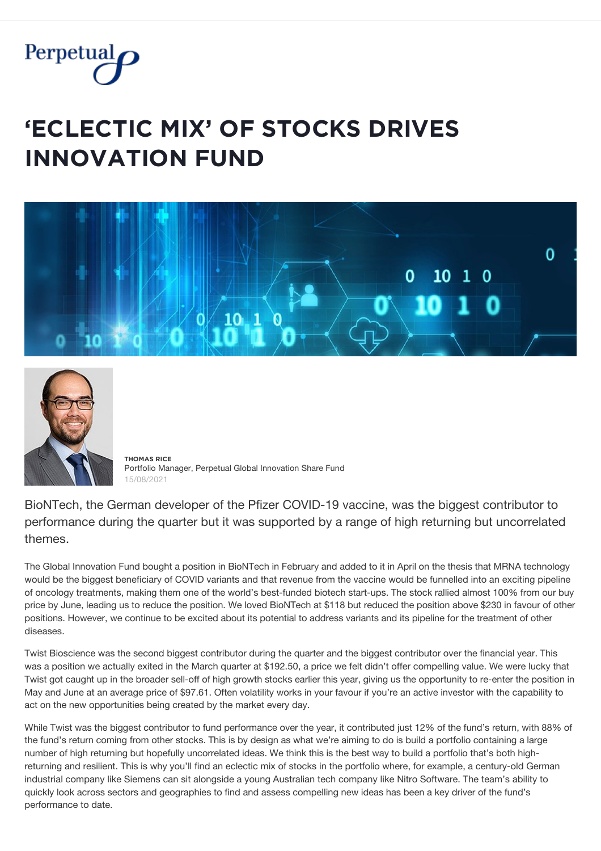

## **'ĚČĿĚČȚİČ MİX' ǾF ȘȚǾČĶȘ ĐŘİVĚȘ INNOVATION FUND**





**ȚĦǾMǺȘ ŘİČĚ** Portfolio Manager, Perpetual Global Innovation Share Fund 15/08/2021

BioNTech, the German developer of the Pfizer COVID-19 vaccine, was the biggest contributor to performance during the quarter but it was supported by a range of high returning but uncorrelated themes.

The Global Innovation Fund bought a position in BioNTech in February and added to it in April on the thesis that MRNA technology would be the biggest beneficiary of COVID variants and that revenue from the vaccine would be funnelled into an exciting pipeline of oncology treatments, making them one of the world's best-funded biotech start-ups. The stock rallied almost 100% from our buy price by June, leading us to reduce the position. We loved BioNTech at \$118 but reduced the position above \$230 in favour of other positions. However, we continue to be excited about its potential to address variants and its pipeline for the treatment of other diseases.

Twist Bioscience was the second biggest contributor during the quarter and the biggest contributor over the financial year. This was a position we actually exited in the March quarter at \$192.50, a price we felt didn't offer compelling value. We were lucky that Twist got caught up in the broader sell-off of high growth stocks earlier this year, giving us the opportunity to re-enter the position in May and June at an average price of \$97.61. Often volatility works in your favour if you're an active investor with the capability to act on the new opportunities being created by the market every day.

While Twist was the biggest contributor to fund performance over the year, it contributed just 12% of the fund's return, with 88% of the fund's return coming from other stocks. This is by design as what we're aiming to do is build a portfolio containing a large number of high returning but hopefully uncorrelated ideas. We think this is the best way to build a portfolio that's both highreturning and resilient. This is why you'll find an eclectic mix of stocks in the portfolio where, for example, a century-old German industrial company like Siemens can sit alongside a young Australian tech company like Nitro Software. The team's ability to quickly look across sectors and geographies to find and assess compelling new ideas has been a key driver of the fund's performance to date.